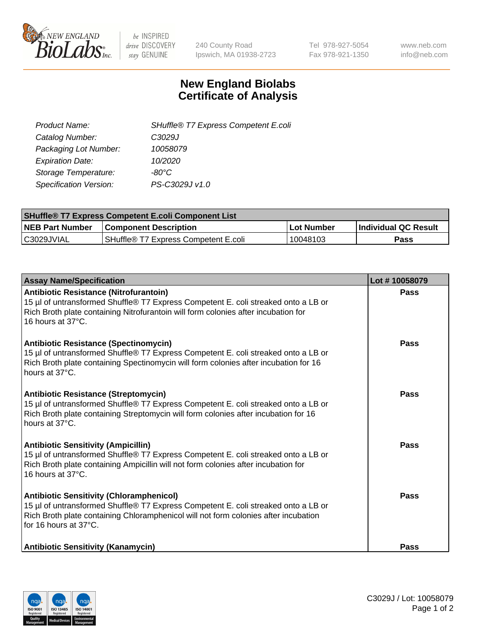

 $be$  INSPIRED drive DISCOVERY stay GENUINE

240 County Road Ipswich, MA 01938-2723 Tel 978-927-5054 Fax 978-921-1350 www.neb.com info@neb.com

## **New England Biolabs Certificate of Analysis**

| SHuffle® T7 Express Competent E.coli |
|--------------------------------------|
| C <sub>3029</sub> J                  |
| 10058079                             |
| 10/2020                              |
| -80°C.                               |
| PS-C3029J v1.0                       |
|                                      |

| <b>SHuffle<sup>®</sup> T7 Express Competent E.coli Component List</b> |                                      |            |                             |  |
|-----------------------------------------------------------------------|--------------------------------------|------------|-----------------------------|--|
| <b>NEB Part Number</b>                                                | <b>Component Description</b>         | Lot Number | <b>Individual QC Result</b> |  |
| C3029JVIAL                                                            | SHuffle® T7 Express Competent E.coli | 10048103   | <b>Pass</b>                 |  |

| <b>Assay Name/Specification</b>                                                                                                                                                                                                                       | Lot #10058079 |
|-------------------------------------------------------------------------------------------------------------------------------------------------------------------------------------------------------------------------------------------------------|---------------|
| Antibiotic Resistance (Nitrofurantoin)<br>15 µl of untransformed Shuffle® T7 Express Competent E. coli streaked onto a LB or<br>Rich Broth plate containing Nitrofurantoin will form colonies after incubation for<br>16 hours at 37°C.               | Pass          |
| Antibiotic Resistance (Spectinomycin)<br>15 µl of untransformed Shuffle® T7 Express Competent E. coli streaked onto a LB or<br>Rich Broth plate containing Spectinomycin will form colonies after incubation for 16<br>hours at 37°C.                 | Pass          |
| Antibiotic Resistance (Streptomycin)<br>15 µl of untransformed Shuffle® T7 Express Competent E. coli streaked onto a LB or<br>Rich Broth plate containing Streptomycin will form colonies after incubation for 16<br>hours at 37°C.                   | <b>Pass</b>   |
| <b>Antibiotic Sensitivity (Ampicillin)</b><br>15 µl of untransformed Shuffle® T7 Express Competent E. coli streaked onto a LB or<br>Rich Broth plate containing Ampicillin will not form colonies after incubation for<br>16 hours at 37°C.           | Pass          |
| <b>Antibiotic Sensitivity (Chloramphenicol)</b><br>15 µl of untransformed Shuffle® T7 Express Competent E. coli streaked onto a LB or<br>Rich Broth plate containing Chloramphenicol will not form colonies after incubation<br>for 16 hours at 37°C. | <b>Pass</b>   |
| <b>Antibiotic Sensitivity (Kanamycin)</b>                                                                                                                                                                                                             | <b>Pass</b>   |